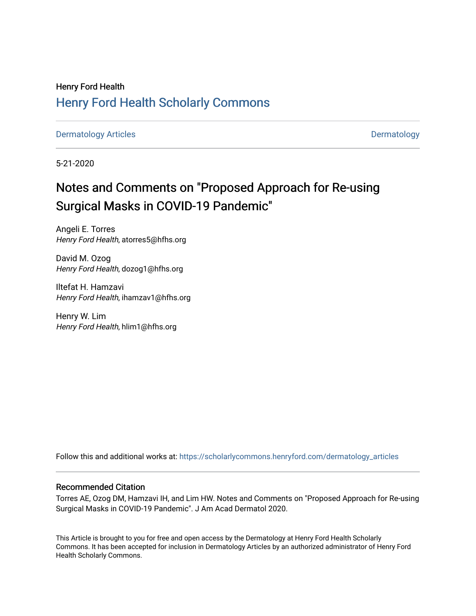## Henry Ford Health [Henry Ford Health Scholarly Commons](https://scholarlycommons.henryford.com/)

[Dermatology Articles](https://scholarlycommons.henryford.com/dermatology_articles) **Dermatology** 

5-21-2020

# Notes and Comments on "Proposed Approach for Re-using Surgical Masks in COVID-19 Pandemic"

Angeli E. Torres Henry Ford Health, atorres5@hfhs.org

David M. Ozog Henry Ford Health, dozog1@hfhs.org

Iltefat H. Hamzavi Henry Ford Health, ihamzav1@hfhs.org

Henry W. Lim Henry Ford Health, hlim1@hfhs.org

Follow this and additional works at: [https://scholarlycommons.henryford.com/dermatology\\_articles](https://scholarlycommons.henryford.com/dermatology_articles?utm_source=scholarlycommons.henryford.com%2Fdermatology_articles%2F443&utm_medium=PDF&utm_campaign=PDFCoverPages)

### Recommended Citation

Torres AE, Ozog DM, Hamzavi IH, and Lim HW. Notes and Comments on "Proposed Approach for Re-using Surgical Masks in COVID-19 Pandemic". J Am Acad Dermatol 2020.

This Article is brought to you for free and open access by the Dermatology at Henry Ford Health Scholarly Commons. It has been accepted for inclusion in Dermatology Articles by an authorized administrator of Henry Ford Health Scholarly Commons.